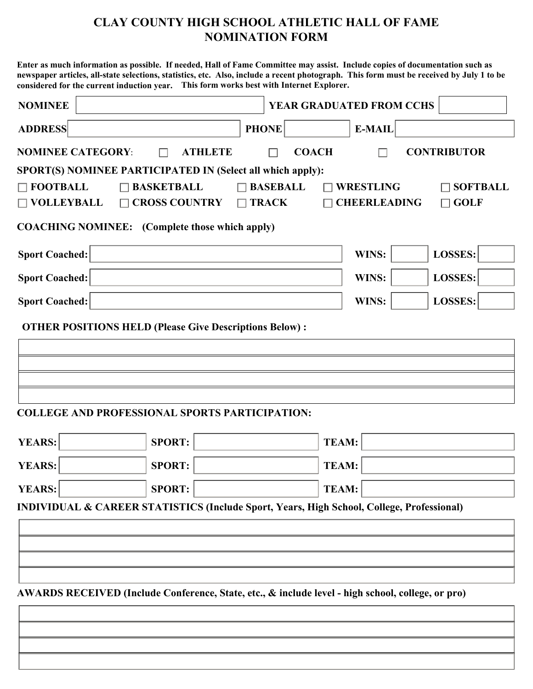## **NOMINATION FORM CLAY COUNTY HIGH SCHOOL ATHLETIC HALL OF FAME**

 **Enter as much information as possible. If needed, Hall of Fame Committee may assist. Include copies of documentation such as newspaper articles, all-state selections, statistics, etc. Also, include a recent photograph. This form must be received by July 1 to be considered for the current induction year. This form works best with Internet Explorer.**

| <b>NOMINEE</b>                                                                                                         |                      |              | YEAR GRADUATED FROM CCHS |                     |                    |  |  |
|------------------------------------------------------------------------------------------------------------------------|----------------------|--------------|--------------------------|---------------------|--------------------|--|--|
| <b>ADDRESS</b>                                                                                                         |                      | <b>PHONE</b> |                          | <b>E-MAIL</b>       |                    |  |  |
| <b>NOMINEE CATEGORY:</b>                                                                                               | <b>ATHLETE</b>       |              | <b>COACH</b>             |                     | <b>CONTRIBUTOR</b> |  |  |
| SPORT(S) NOMINEE PARTICIPATED IN (Select all which apply):                                                             |                      |              |                          |                     |                    |  |  |
| $\Box$ FOOTBALL<br>$\Box$ BASKETBALL<br>$\Box$ BASEBALL<br><b>WRESTLING</b><br>$\Box$ SOFTBALL                         |                      |              |                          |                     |                    |  |  |
| $\Box$ VOLLEYBALL                                                                                                      | $\Box$ CROSS COUNTRY | $\Box$ TRACK |                          | <b>CHEERLEADING</b> | $\Box$ GOLF        |  |  |
| <b>COACHING NOMINEE:</b> (Complete those which apply)                                                                  |                      |              |                          |                     |                    |  |  |
| <b>Sport Coached:</b>                                                                                                  |                      |              |                          | WINS:               | LOSSES:            |  |  |
| <b>Sport Coached:</b>                                                                                                  |                      |              |                          | WINS:               | LOSSES:            |  |  |
| <b>Sport Coached:</b>                                                                                                  |                      |              |                          | WINS:               | LOSSES:            |  |  |
| <b>OTHER POSITIONS HELD (Please Give Descriptions Below):</b><br><b>COLLEGE AND PROFESSIONAL SPORTS PARTICIPATION:</b> |                      |              |                          |                     |                    |  |  |
| <b>YEARS:</b>                                                                                                          | <b>SPORT:</b>        |              | <b>TEAM:</b>             |                     |                    |  |  |
| <b>YEARS:</b>                                                                                                          | <b>SPORT:</b>        |              | <b>TEAM:</b>             |                     |                    |  |  |
| <b>YEARS:</b>                                                                                                          | <b>SPORT:</b>        |              | <b>TEAM:</b>             |                     |                    |  |  |
| <b>INDIVIDUAL &amp; CAREER STATISTICS (Include Sport, Years, High School, College, Professional)</b>                   |                      |              |                          |                     |                    |  |  |
|                                                                                                                        |                      |              |                          |                     |                    |  |  |
|                                                                                                                        |                      |              |                          |                     |                    |  |  |
|                                                                                                                        |                      |              |                          |                     |                    |  |  |
|                                                                                                                        |                      |              |                          |                     |                    |  |  |
| AWARDS RECEIVED (Include Conference, State, etc., & include level - high school, college, or pro)                      |                      |              |                          |                     |                    |  |  |
|                                                                                                                        |                      |              |                          |                     |                    |  |  |